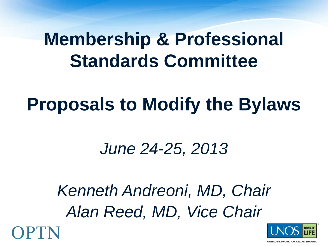### **Membership & Professional Standards Committee**

### **Proposals to Modify the Bylaws**

#### *June 24-25, 2013*

*Kenneth Andreoni, MD, Chair Alan Reed, MD, Vice Chair*



**UNITED NETWORK FOR ORCAN SHARIN**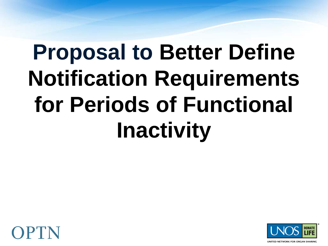# **Proposal to Better Define Notification Requirements for Periods of Functional Inactivity**



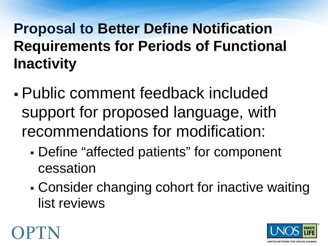#### **Proposal to Better Define Notification Requirements for Periods of Functional Inactivity**

- Public comment feedback included support for proposed language, with recommendations for modification:
	- Define "affected patients" for component cessation
	- Consider changing cohort for inactive waiting list reviews



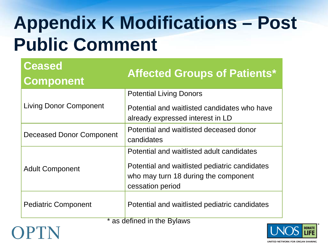## **Appendix K Modifications – Post Public Comment**

| <b>Ceased</b><br><b>Component</b> | <b>Affected Groups of Patients*</b>                                                                                                                    |
|-----------------------------------|--------------------------------------------------------------------------------------------------------------------------------------------------------|
| <b>Living Donor Component</b>     | <b>Potential Living Donors</b><br>Potential and waitlisted candidates who have<br>already expressed interest in LD                                     |
| <b>Deceased Donor Component</b>   | Potential and waitlisted deceased donor<br>candidates                                                                                                  |
| <b>Adult Component</b>            | Potential and waitlisted adult candidates<br>Potential and waitlisted pediatric candidates<br>who may turn 18 during the component<br>cessation period |
| <b>Pediatric Component</b>        | Potential and waitlisted pediatric candidates                                                                                                          |
| * as defined in the Bylaws        |                                                                                                                                                        |

OPTN



UNITED NETWORK FOR ORGAN SHARING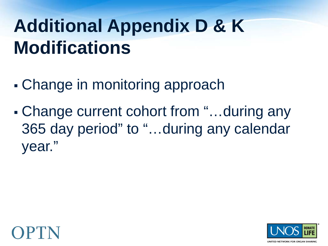## **Additional Appendix D & K Modifications**

- Change in monitoring approach
- Change current cohort from "…during any 365 day period" to "…during any calendar year."



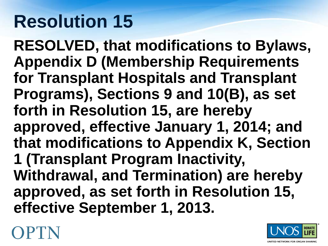## **Resolution 15**

**RESOLVED, that modifications to Bylaws, Appendix D (Membership Requirements for Transplant Hospitals and Transplant Programs), Sections 9 and 10(B), as set forth in Resolution 15, are hereby approved, effective January 1, 2014; and that modifications to Appendix K, Section 1 (Transplant Program Inactivity, Withdrawal, and Termination) are hereby approved, as set forth in Resolution 15, effective September 1, 2013.**

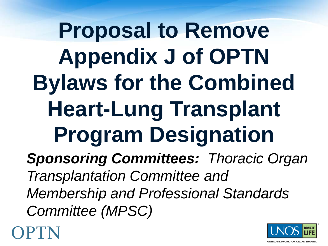**Proposal to Remove Appendix J of OPTN Bylaws for the Combined Heart-Lung Transplant Program Designation** *Sponsoring Committees: Thoracic Organ Transplantation Committee and Membership and Professional Standards Committee (MPSC)*

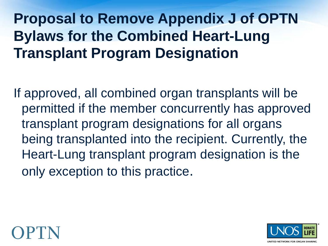#### **Proposal to Remove Appendix J of OPTN Bylaws for the Combined Heart-Lung Transplant Program Designation**

If approved, all combined organ transplants will be permitted if the member concurrently has approved transplant program designations for all organs being transplanted into the recipient. Currently, the Heart-Lung transplant program designation is the only exception to this practice.



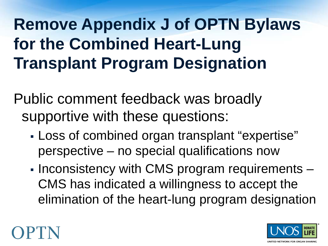### **Remove Appendix J of OPTN Bylaws for the Combined Heart-Lung Transplant Program Designation**

Public comment feedback was broadly supportive with these questions:

- Loss of combined organ transplant "expertise" perspective – no special qualifications now
- Inconsistency with CMS program requirements -CMS has indicated a willingness to accept the elimination of the heart-lung program designation